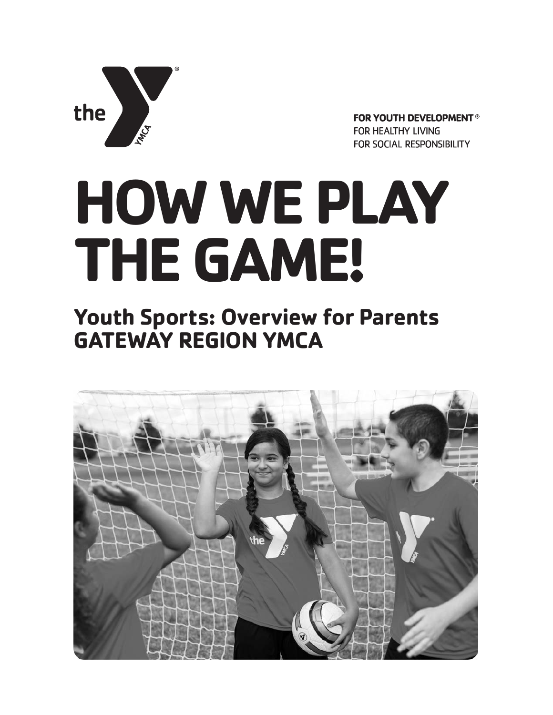

**FOR YOUTH DEVELOPMENT<sup>®</sup> FOR HEALTHY LIVING** FOR SOCIAL RESPONSIBILITY

# **HOW WE PLAY THE GAME!**

# **Youth Sports: Overview for Parents GATEWAY REGION YMCA**

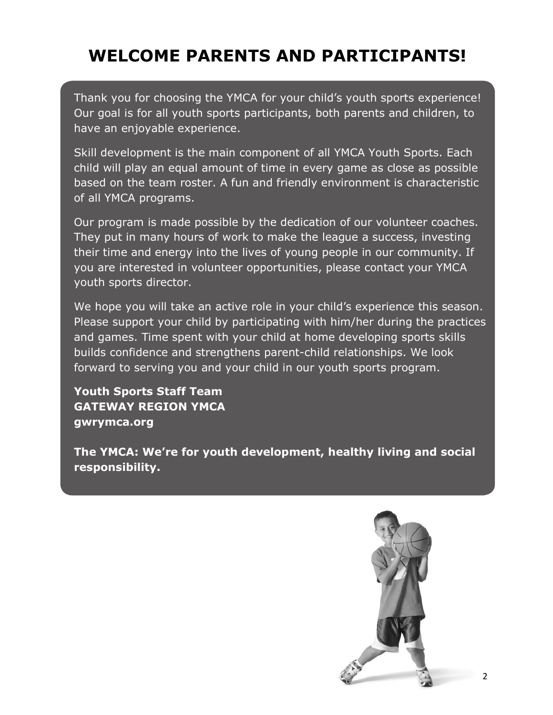# **WELCOME PARENTS AND PARTICIPANTS!**

Thank you for choosing the YMCA for your child's youth sports experience! Our goal is for all youth sports participants, both parents and children, to have an enjoyable experience.

Skill development is the main component of all YMCA Youth Sports. Each child will play an equal amount of time in every game as close as possible based on the team roster. A fun and friendly environment is characteristic of all YMCA programs.

Our program is made possible by the dedication of our volunteer coaches. They put in many hours of work to make the league a success, investing their time and energy into the lives of young people in our community. If you are interested in volunteer opportunities, please contact your YMCA youth sports director.

We hope you will take an active role in your child's experience this season. Please support your child by participating with him/her during the practices and games. Time spent with your child at home developing sports skills builds confidence and strengthens parent-child relationships. We look forward to serving you and your child in our youth sports program.

**Youth Sports Staff Team GATEWAY REGION YMCA gwrymca.org**

**The YMCA: We're for youth development, healthy living and social responsibility.**

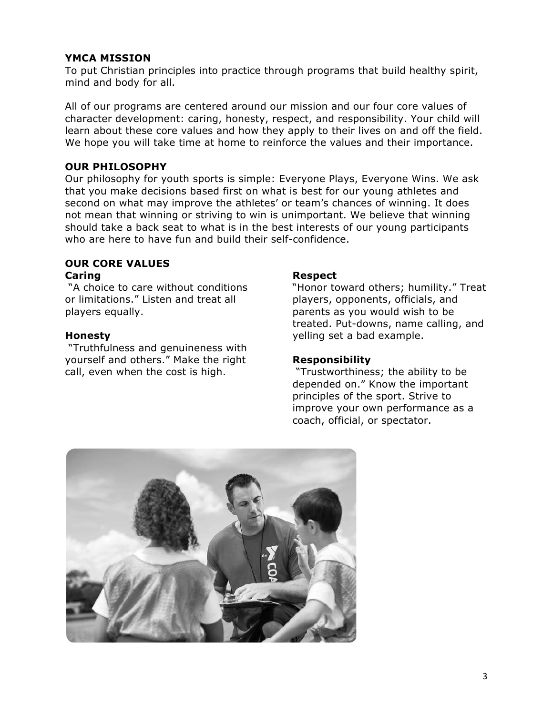#### **YMCA MISSION**

To put Christian principles into practice through programs that build healthy spirit, mind and body for all.

All of our programs are centered around our mission and our four core values of character development: caring, honesty, respect, and responsibility. Your child will learn about these core values and how they apply to their lives on and off the field. We hope you will take time at home to reinforce the values and their importance.

#### **OUR PHILOSOPHY**

Our philosophy for youth sports is simple: Everyone Plays, Everyone Wins. We ask that you make decisions based first on what is best for our young athletes and second on what may improve the athletes' or team's chances of winning. It does not mean that winning or striving to win is unimportant. We believe that winning should take a back seat to what is in the best interests of our young participants who are here to have fun and build their self-confidence.

# **OUR CORE VALUES**

# **Caring**

"A choice to care without conditions or limitations." Listen and treat all players equally.

#### **Honesty**

"Truthfulness and genuineness with yourself and others." Make the right call, even when the cost is high.

#### **Respect**

"Honor toward others; humility." Treat players, opponents, officials, and parents as you would wish to be treated. Put-downs, name calling, and yelling set a bad example.

#### **Responsibility**

"Trustworthiness; the ability to be depended on." Know the important principles of the sport. Strive to improve your own performance as a coach, official, or spectator.

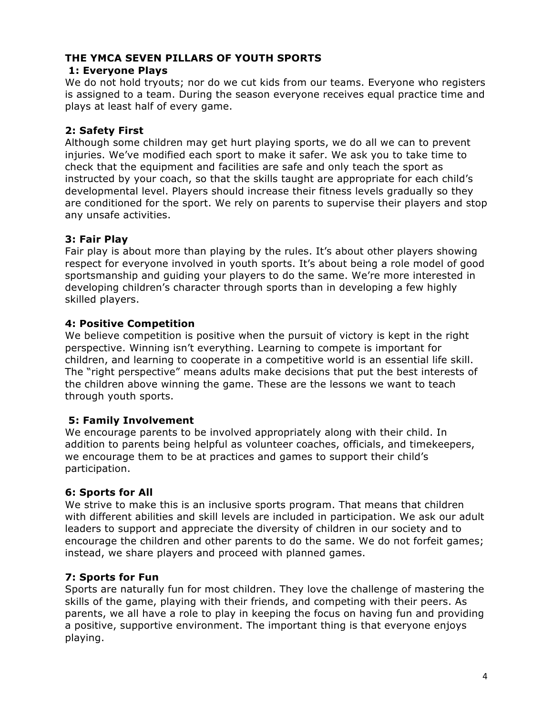# **THE YMCA SEVEN PILLARS OF YOUTH SPORTS**

# **1: Everyone Plays**

We do not hold tryouts; nor do we cut kids from our teams. Everyone who registers is assigned to a team. During the season everyone receives equal practice time and plays at least half of every game.

# **2: Safety First**

Although some children may get hurt playing sports, we do all we can to prevent injuries. We've modified each sport to make it safer. We ask you to take time to check that the equipment and facilities are safe and only teach the sport as instructed by your coach, so that the skills taught are appropriate for each child's developmental level. Players should increase their fitness levels gradually so they are conditioned for the sport. We rely on parents to supervise their players and stop any unsafe activities.

# **3: Fair Play**

Fair play is about more than playing by the rules. It's about other players showing respect for everyone involved in youth sports. It's about being a role model of good sportsmanship and guiding your players to do the same. We're more interested in developing children's character through sports than in developing a few highly skilled players.

# **4: Positive Competition**

We believe competition is positive when the pursuit of victory is kept in the right perspective. Winning isn't everything. Learning to compete is important for children, and learning to cooperate in a competitive world is an essential life skill. The "right perspective" means adults make decisions that put the best interests of the children above winning the game. These are the lessons we want to teach through youth sports.

# **5: Family Involvement**

We encourage parents to be involved appropriately along with their child. In addition to parents being helpful as volunteer coaches, officials, and timekeepers, we encourage them to be at practices and games to support their child's participation.

# **6: Sports for All**

We strive to make this is an inclusive sports program. That means that children with different abilities and skill levels are included in participation. We ask our adult leaders to support and appreciate the diversity of children in our society and to encourage the children and other parents to do the same. We do not forfeit games; instead, we share players and proceed with planned games.

# **7: Sports for Fun**

Sports are naturally fun for most children. They love the challenge of mastering the skills of the game, playing with their friends, and competing with their peers. As parents, we all have a role to play in keeping the focus on having fun and providing a positive, supportive environment. The important thing is that everyone enjoys playing.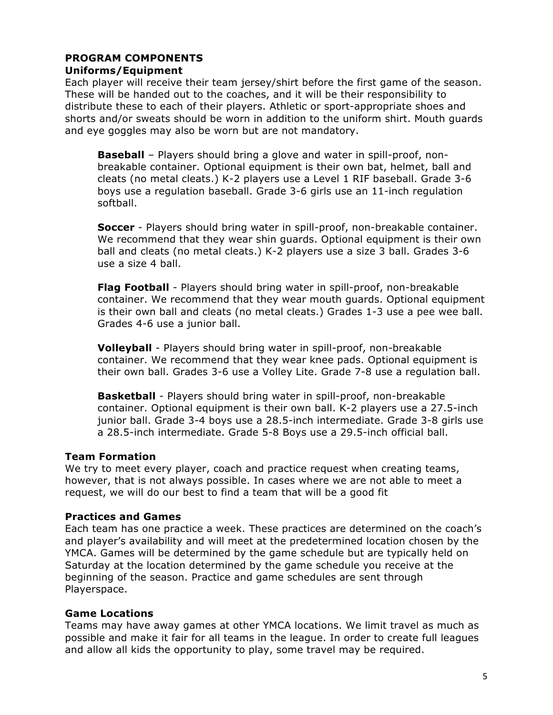#### **PROGRAM COMPONENTS Uniforms/Equipment**

Each player will receive their team jersey/shirt before the first game of the season. These will be handed out to the coaches, and it will be their responsibility to distribute these to each of their players. Athletic or sport-appropriate shoes and shorts and/or sweats should be worn in addition to the uniform shirt. Mouth guards and eye goggles may also be worn but are not mandatory.

**Baseball** – Players should bring a glove and water in spill-proof, nonbreakable container. Optional equipment is their own bat, helmet, ball and cleats (no metal cleats.) K-2 players use a Level 1 RIF baseball. Grade 3-6 boys use a regulation baseball. Grade 3-6 girls use an 11-inch regulation softball.

**Soccer** - Players should bring water in spill-proof, non-breakable container. We recommend that they wear shin guards. Optional equipment is their own ball and cleats (no metal cleats.) K-2 players use a size 3 ball. Grades 3-6 use a size 4 ball.

**Flag Football** - Players should bring water in spill-proof, non-breakable container. We recommend that they wear mouth guards. Optional equipment is their own ball and cleats (no metal cleats.) Grades 1-3 use a pee wee ball. Grades 4-6 use a junior ball.

**Volleyball** - Players should bring water in spill-proof, non-breakable container. We recommend that they wear knee pads. Optional equipment is their own ball. Grades 3-6 use a Volley Lite. Grade 7-8 use a regulation ball.

**Basketball** - Players should bring water in spill-proof, non-breakable container. Optional equipment is their own ball. K-2 players use a 27.5-inch junior ball. Grade 3-4 boys use a 28.5-inch intermediate. Grade 3-8 girls use a 28.5-inch intermediate. Grade 5-8 Boys use a 29.5-inch official ball.

# **Team Formation**

We try to meet every player, coach and practice request when creating teams, however, that is not always possible. In cases where we are not able to meet a request, we will do our best to find a team that will be a good fit

# **Practices and Games**

Each team has one practice a week. These practices are determined on the coach's and player's availability and will meet at the predetermined location chosen by the YMCA. Games will be determined by the game schedule but are typically held on Saturday at the location determined by the game schedule you receive at the beginning of the season. Practice and game schedules are sent through Playerspace.

# **Game Locations**

Teams may have away games at other YMCA locations. We limit travel as much as possible and make it fair for all teams in the league. In order to create full leagues and allow all kids the opportunity to play, some travel may be required.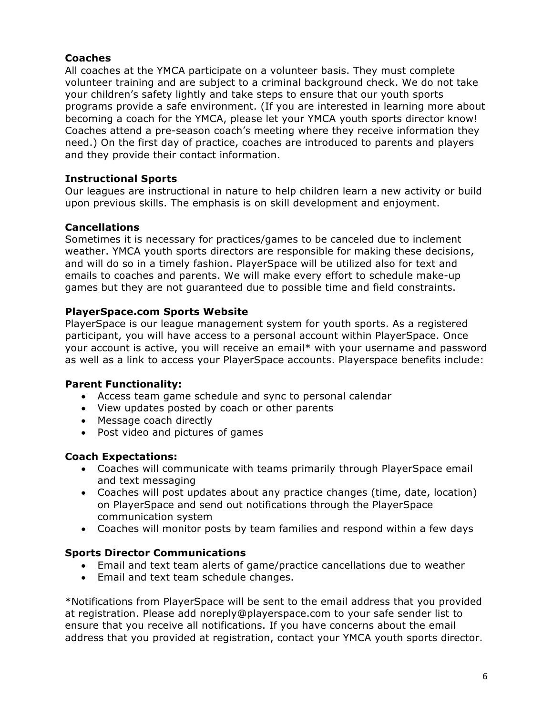# **Coaches**

All coaches at the YMCA participate on a volunteer basis. They must complete volunteer training and are subject to a criminal background check. We do not take your children's safety lightly and take steps to ensure that our youth sports programs provide a safe environment. (If you are interested in learning more about becoming a coach for the YMCA, please let your YMCA youth sports director know! Coaches attend a pre-season coach's meeting where they receive information they need.) On the first day of practice, coaches are introduced to parents and players and they provide their contact information.

# **Instructional Sports**

Our leagues are instructional in nature to help children learn a new activity or build upon previous skills. The emphasis is on skill development and enjoyment.

# **Cancellations**

Sometimes it is necessary for practices/games to be canceled due to inclement weather. YMCA youth sports directors are responsible for making these decisions, and will do so in a timely fashion. PlayerSpace will be utilized also for text and emails to coaches and parents. We will make every effort to schedule make-up games but they are not guaranteed due to possible time and field constraints.

# **PlayerSpace.com Sports Website**

PlayerSpace is our league management system for youth sports. As a registered participant, you will have access to a personal account within PlayerSpace. Once your account is active, you will receive an email\* with your username and password as well as a link to access your PlayerSpace accounts. Playerspace benefits include:

# **Parent Functionality:**

- Access team game schedule and sync to personal calendar
- View updates posted by coach or other parents
- Message coach directly
- Post video and pictures of games

# **Coach Expectations:**

- Coaches will communicate with teams primarily through PlayerSpace email and text messaging
- Coaches will post updates about any practice changes (time, date, location) on PlayerSpace and send out notifications through the PlayerSpace communication system
- Coaches will monitor posts by team families and respond within a few days

# **Sports Director Communications**

- Email and text team alerts of game/practice cancellations due to weather
- Email and text team schedule changes.

\*Notifications from PlayerSpace will be sent to the email address that you provided at registration. Please add noreply@playerspace.com to your safe sender list to ensure that you receive all notifications. If you have concerns about the email address that you provided at registration, contact your YMCA youth sports director.